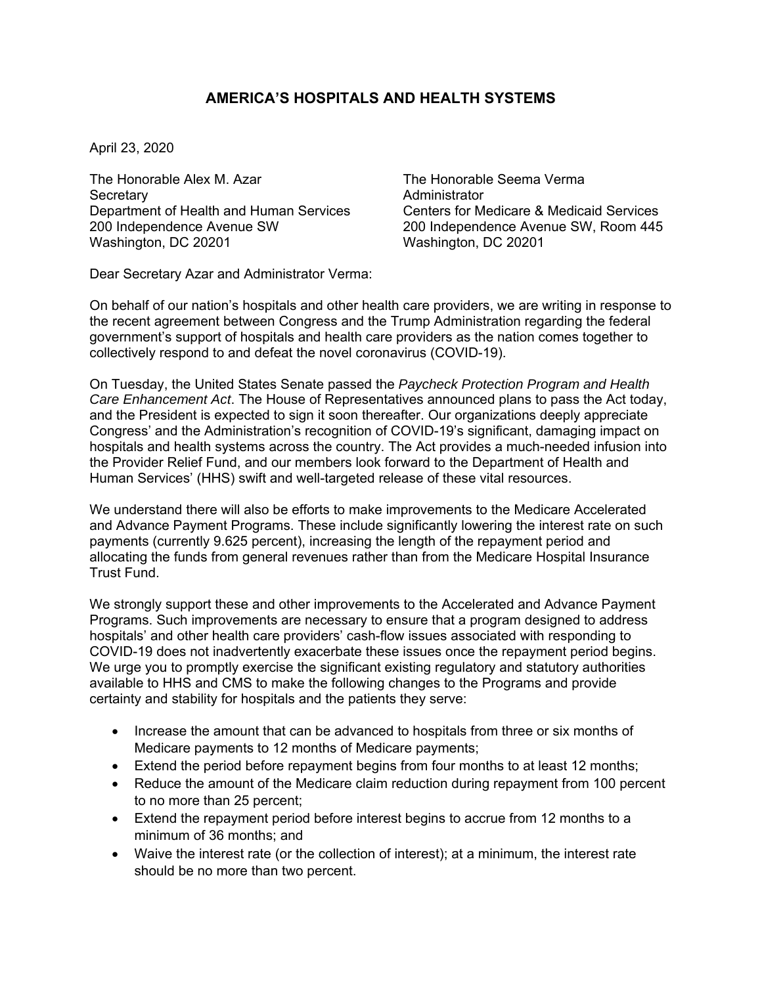## **AMERICA'S HOSPITALS AND HEALTH SYSTEMS**

April 23, 2020

The Honorable Alex M. Azar The Honorable Seema Verma Secretary **Administrator Administrator** Department of Health and Human Services Centers for Medicare & Medicaid Services<br>200 Independence Avenue SW 200 Independence Avenue SW, Room 445 Washington, DC 20201 Washington, DC 20201

200 Independence Avenue SW, Room 445

Dear Secretary Azar and Administrator Verma:

On behalf of our nation's hospitals and other health care providers, we are writing in response to the recent agreement between Congress and the Trump Administration regarding the federal government's support of hospitals and health care providers as the nation comes together to collectively respond to and defeat the novel coronavirus (COVID-19).

On Tuesday, the United States Senate passed the *Paycheck Protection Program and Health Care Enhancement Act*. The House of Representatives announced plans to pass the Act today, and the President is expected to sign it soon thereafter. Our organizations deeply appreciate Congress' and the Administration's recognition of COVID-19's significant, damaging impact on hospitals and health systems across the country. The Act provides a much-needed infusion into the Provider Relief Fund, and our members look forward to the Department of Health and Human Services' (HHS) swift and well-targeted release of these vital resources.

We understand there will also be efforts to make improvements to the Medicare Accelerated and Advance Payment Programs. These include significantly lowering the interest rate on such payments (currently 9.625 percent), increasing the length of the repayment period and allocating the funds from general revenues rather than from the Medicare Hospital Insurance Trust Fund.

We strongly support these and other improvements to the Accelerated and Advance Payment Programs. Such improvements are necessary to ensure that a program designed to address hospitals' and other health care providers' cash-flow issues associated with responding to COVID-19 does not inadvertently exacerbate these issues once the repayment period begins. We urge you to promptly exercise the significant existing regulatory and statutory authorities available to HHS and CMS to make the following changes to the Programs and provide certainty and stability for hospitals and the patients they serve:

- Increase the amount that can be advanced to hospitals from three or six months of Medicare payments to 12 months of Medicare payments;
- Extend the period before repayment begins from four months to at least 12 months;
- Reduce the amount of the Medicare claim reduction during repayment from 100 percent to no more than 25 percent;
- Extend the repayment period before interest begins to accrue from 12 months to a minimum of 36 months; and
- Waive the interest rate (or the collection of interest); at a minimum, the interest rate should be no more than two percent.